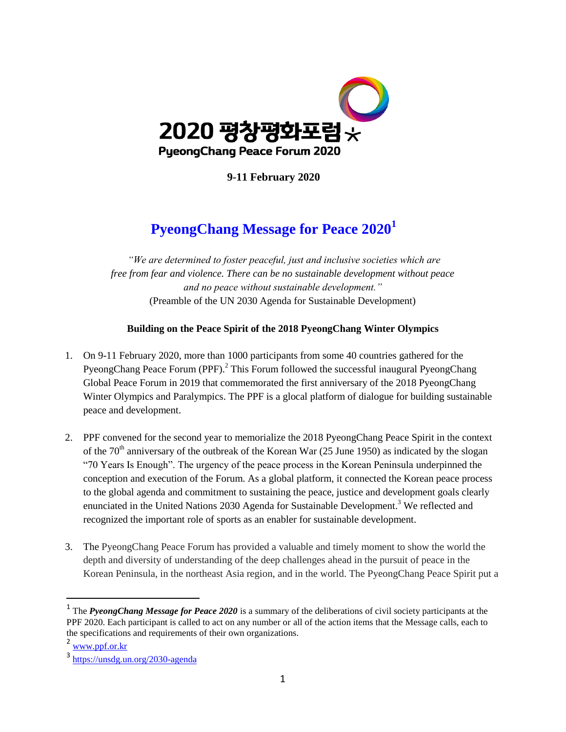

**9-11 February 2020** 

# **PyeongChang Message for Peace 2020<sup>1</sup>**

*"We are determined to foster peaceful, just and inclusive societies which are free from fear and violence. There can be no sustainable development without peace and no peace without sustainable development."*  (Preamble of the UN 2030 Agenda for Sustainable Development)

### **Building on the Peace Spirit of the 2018 PyeongChang Winter Olympics**

- 1. On 9-11 February 2020, more than 1000 participants from some 40 countries gathered for the PyeongChang Peace Forum (PPF).<sup>2</sup> This Forum followed the successful inaugural PyeongChang Global Peace Forum in 2019 that commemorated the first anniversary of the 2018 PyeongChang Winter Olympics and Paralympics. The PPF is a glocal platform of dialogue for building sustainable peace and development.
- 2. PPF convened for the second year to memorialize the 2018 PyeongChang Peace Spirit in the context of the  $70<sup>th</sup>$  anniversary of the outbreak of the Korean War (25 June 1950) as indicated by the slogan "70 Years Is Enough". The urgency of the peace process in the Korean Peninsula underpinned the conception and execution of the Forum. As a global platform, it connected the Korean peace process to the global agenda and commitment to sustaining the peace, justice and development goals clearly enunciated in the United Nations [2030 Agenda](https://www.un.org/sustainabledevelopment/development-agenda/) for Sustainable Development.<sup>3</sup> We reflected and recognized the important role of sports as an enabler for sustainable development.
- 3. The PyeongChang Peace Forum has provided a valuable and timely moment to show the world the depth and diversity of understanding of the deep challenges ahead in the pursuit of peace in the Korean Peninsula, in the northeast Asia region, and in the world. The PyeongChang Peace Spirit put a

<sup>&</sup>lt;sup>1</sup> The *PyeongChang Message for Peace 2020* is a summary of the deliberations of civil society participants at the PPF 2020. Each participant is called to act on any number or all of the action items that the Message calls, each to the specifications and requirements of their own organizations.

 $2 \frac{\text{www.ppf. or.} \text{kr}}{2}$ 

<sup>3</sup> <https://unsdg.un.org/2030-agenda>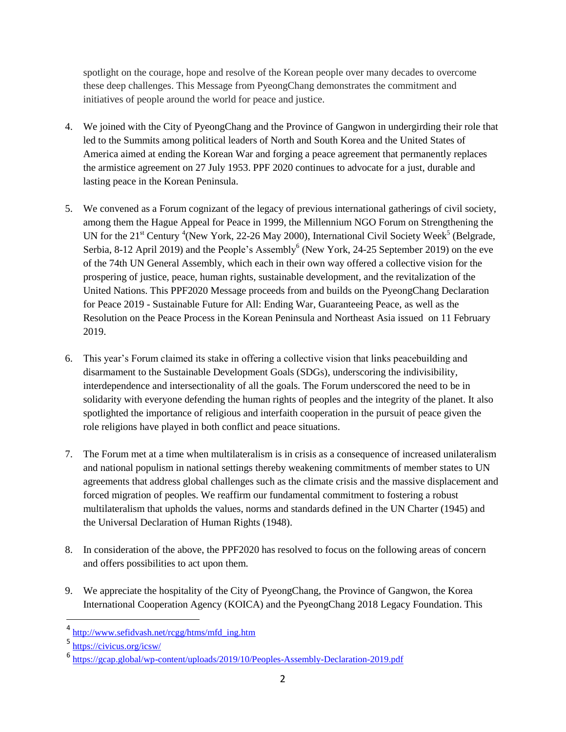spotlight on the courage, hope and resolve of the Korean people over many decades to overcome these deep challenges. This Message from PyeongChang demonstrates the commitment and initiatives of people around the world for peace and justice.

- 4. We joined with the City of PyeongChang and the Province of Gangwon in undergirding their role that led to the Summits among political leaders of North and South Korea and the United States of America aimed at ending the Korean War and forging a peace agreement that permanently replaces the armistice agreement on 27 July 1953. PPF 2020 continues to advocate for a just, durable and lasting peace in the Korean Peninsula.
- 5. We convened as a Forum cognizant of the legacy of previous international gatherings of civil society, among them the Hague Appeal for Peace in 1999, the [Millennium NGO Forum on Strengthening the](http://www.sefidvash.net/rcgg/htms/mfd_ing.htm)  [UN for the 21](http://www.sefidvash.net/rcgg/htms/mfd_ing.htm)<sup>[st](http://www.sefidvash.net/rcgg/htms/mfd_ing.htm)</sup> [Century](http://www.sefidvash.net/rcgg/htms/mfd_ing.htm) <sup>4</sup>(New York, 22-26 May 2000), [International Civil Society Week](https://www.civicus.org/icsw/)<sup>5</sup> (Belgrade, Serbia, 8-12 April 2019) and the People's Assembly<sup>6</sup> (New York, 24-25 September 2019) on the eve of the 74th UN General Assembly, which each in their own way offered a collective vision for the prospering of justice, peace, human rights, sustainable development, and the revitalization of the United Nations. This PPF2020 Message proceeds from and builds on the [PyeongChang Declaration](https://gcap.global/wp-content/uploads/2019/04/PyeongChang-Declaration-for-Peace-2019-Final-%EC%9D%B8%EC%87%84%EC%9A%A9-%EC%88%98%EC%A0%95.pdf)  for Peace 2019 - [Sustainable Future for All: Ending War, Guaranteeing Peace,](https://gcap.global/wp-content/uploads/2019/04/PyeongChang-Declaration-for-Peace-2019-Final-%EC%9D%B8%EC%87%84%EC%9A%A9-%EC%88%98%EC%A0%95.pdf) as well as the [Resolution on the Peace Process in the Korean Peninsula and Northeast Asia](http://www.pnnd.org/sites/default/files/i/pgpf_2019_resolution_for_peace_in_korean_peninsula_and_northeast_asia_.pdf) issued on 11 February 2019.
- 6. This year"s Forum claimed its stake in offering a collective vision that links peacebuilding and disarmament to the Sustainable Development Goals (SDGs), underscoring the indivisibility, interdependence and intersectionality of all the goals. The Forum underscored the need to be in solidarity with everyone defending the human rights of peoples and the integrity of the planet. It also spotlighted the importance of religious and interfaith cooperation in the pursuit of peace given the role religions have played in both conflict and peace situations.
- 7. The Forum met at a time when multilateralism is in crisis as a consequence of increased unilateralism and national populism in national settings thereby weakening commitments of member states to UN agreements that address global challenges such as the climate crisis and the massive displacement and forced migration of peoples. We reaffirm our fundamental commitment to fostering a robust multilateralism that upholds the values, norms and standards defined in the UN Charter (1945) and the Universal Declaration of Human Rights (1948).
- 8. In consideration of the above, the PPF2020 has resolved to focus on the following areas of concern and offers possibilities to act upon them.
- 9. We appreciate the hospitality of the City of PyeongChang, the Province of Gangwon, the Korea International Cooperation Agency (KOICA) and the PyeongChang 2018 Legacy Foundation. This

<sup>&</sup>lt;sup>4</sup> [http://www.sefidvash.net/rcgg/htms/mfd\\_ing.htm](http://www.sefidvash.net/rcgg/htms/mfd_ing.htm)

<sup>5</sup> <https://civicus.org/icsw/>

<sup>6</sup> <https://gcap.global/wp-content/uploads/2019/10/Peoples-Assembly-Declaration-2019.pdf>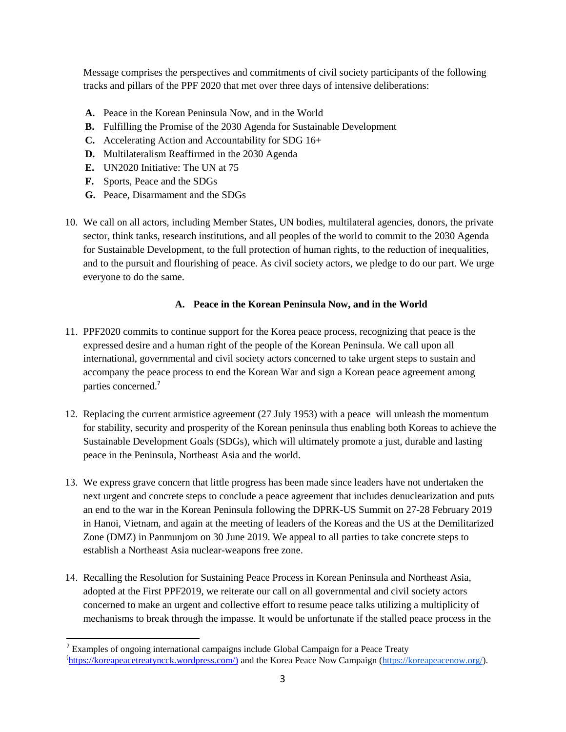Message comprises the perspectives and commitments of civil society participants of the following tracks and pillars of the PPF 2020 that met over three days of intensive deliberations:

- **A.** Peace in the Korean Peninsula Now, and in the World
- **B.** Fulfilling the Promise of the 2030 Agenda for Sustainable Development
- **C.** Accelerating Action and Accountability for SDG 16+
- **D.** Multilateralism Reaffirmed in the 2030 Agenda
- **E.** UN2020 Initiative: The UN at 75
- **F.** Sports, Peace and the SDGs
- **G.** Peace, Disarmament and the SDGs
- 10. We call on all actors, including Member States, UN bodies, multilateral agencies, donors, the private sector, think tanks, research institutions, and all peoples of the world to commit to the 2030 Agenda for Sustainable Development, to the full protection of human rights, to the reduction of inequalities, and to the pursuit and flourishing of peace. As civil society actors, we pledge to do our part. We urge everyone to do the same.

### **A. Peace in the Korean Peninsula Now, and in the World**

- 11. PPF2020 commits to continue support for the Korea peace process, recognizing that peace is the expressed desire and a human right of the people of the Korean Peninsula. We call upon all international, governmental and civil society actors concerned to take urgent steps to sustain and accompany the peace process to end the Korean War and sign a Korean peace agreement among parties concerned.<sup>7</sup>
- 12. Replacing the current armistice agreement (27 July 1953) with a peace will unleash the momentum for stability, security and prosperity of the Korean peninsula thus enabling both Koreas to achieve the [Sustainable Development Goals \(](https://sustainabledevelopment.un.org/sdgs)SDGs), which will ultimately promote a just, durable and lasting peace in the Peninsula, Northeast Asia and the world.
- 13. We express grave concern that little progress has been made since leaders have not undertaken the next urgent and concrete steps to conclude a peace agreement that includes denuclearization and puts an end to the war in the Korean Peninsula following the DPRK-US Summit on 27-28 February 2019 in Hanoi, Vietnam, and again at the meeting of leaders of the Koreas and the US at the Demilitarized Zone (DMZ) in Panmunjom on 30 June 2019. We appeal to all parties to take concrete steps to establish a Northeast Asia nuclear-weapons free zone.
- 14. Recalling the Resolution for Sustaining Peace Process in Korean Peninsula and Northeast Asia, adopted at the First PPF2019, we reiterate our call on all governmental and civil society actors concerned to make an urgent and collective effort to resume peace talks utilizing a multiplicity of mechanisms to break through the impasse. It would be unfortunate if the stalled peace process in the

<sup>&</sup>lt;sup>7</sup> Examples of ongoing international campaigns include [Global Campaign for a Peace Treaty](https://koreapeacetreatyncck.wordpress.com/) ([https://koreapeacetreatyncck.wordpress.com/\)](https://koreapeacetreatyncck.wordpress.com/) and the [Korea Peace Now Campaign](https://koreapeacenow.org/) [\(https://koreapeacenow.org/\)](https://koreapeacenow.org/).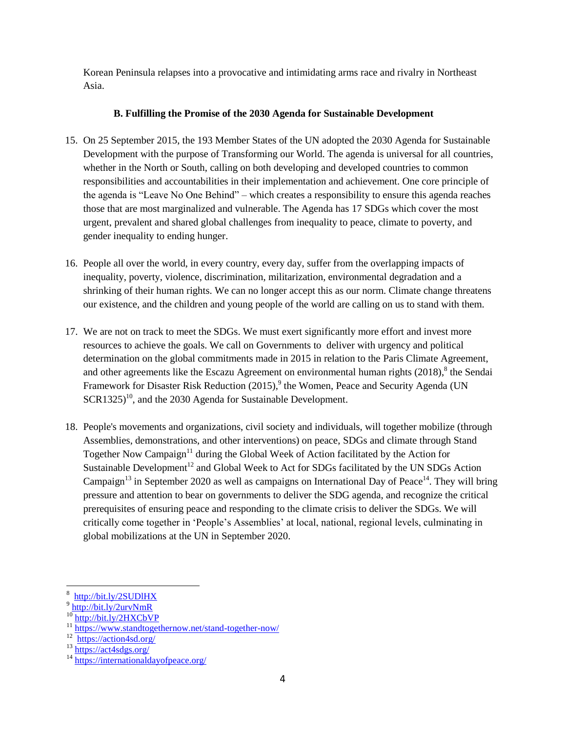Korean Peninsula relapses into a provocative and intimidating arms race and rivalry in Northeast Asia.

### **B. Fulfilling the Promise of the 2030 Agenda for Sustainable Development**

- 15. On 25 September 2015, the 193 Member States of the UN adopted the 2030 Agenda for Sustainable Development with the purpose of Transforming our World. The agenda is universal for all countries, whether in the North or South, calling on both developing and developed countries to common responsibilities and accountabilities in their implementation and achievement. One core principle of the agenda is "Leave No One Behind" – which creates a responsibility to ensure this agenda reaches those that are most marginalized and vulnerable. The Agenda has 17 SDGs which cover the most urgent, prevalent and shared global challenges from inequality to peace, climate to poverty, and gender inequality to ending hunger.
- 16. People all over the world, in every country, every day, suffer from the overlapping impacts of inequality, poverty, violence, discrimination, militarization, environmental degradation and a shrinking of their human rights. We can no longer accept this as our norm. Climate change threatens our existence, and the children and young people of the world are calling on us to stand with them.
- 17. We are not on track to meet the SDGs. We must exert significantly more effort and invest more resources to achieve the goals. We call on Governments to deliver with urgency and political determination on the global commitments made in 2015 in relation to the [Paris Climate Agreement,](https://unfccc.int/process-and-meetings/the-paris-agreement/the-paris-agreement) and other agreements like the [Escazu Agreement](https://treaties.un.org/Pages/ViewDetails.aspx?src=TREATY&mtdsg_no=XXVII-18&chapter=27&clang=_en) on environmental human rights  $(2018)$ ,  $8$  the Sendai [Framework for Disaster Risk Reduction](https://www.preventionweb.net/files/43291_sendaiframeworkfordrren.pdf) (2015),<sup>9</sup> the Women, [Peace and Security Agenda](https://documents-dds-ny.un.org/doc/UNDOC/GEN/N00/720/18/PDF/N0072018.pdf?OpenElement) (UN  $SCR1325)^{10}$ , and the 2030 Agenda for Sustainable Development.
- 18. People's movements and organizations, civil society and individuals, will together mobilize (through Assemblies, demonstrations, and other interventions) on peace, SDGs and climate through Stand Together Now Campaign<sup>11</sup> during the Global Week of Action facilitated by the Action for Sustainable Development<sup>12</sup> and Global Week to Act for SDGs facilitated by the UN SDGs Action Campaign<sup>13</sup> in September 2020 as well as campaigns on International Day of Peace<sup>14</sup>. They will bring pressure and attention to bear on governments to deliver the SDG agenda, and recognize the critical prerequisites of ensuring peace and responding to the climate crisis to deliver the SDGs. We will critically come together in "People"s Assemblies" at local, national, regional levels, culminating in global mobilizations at the UN in September 2020.

 $\overline{a}$ 8 <http://bit.ly/2SUDlHX>

<sup>&</sup>lt;sup>9</sup> <http://bit.ly/2urvNmR>

<http://bit.ly/2HXCbVP>

<sup>11</sup> <https://www.standtogethernow.net/stand-together-now/>

<sup>&</sup>lt;sup>12</sup> <https://action4sd.org/>

<sup>&</sup>lt;sup>13</sup> <https://act4sdgs.org/>

<sup>14</sup> <https://internationaldayofpeace.org/>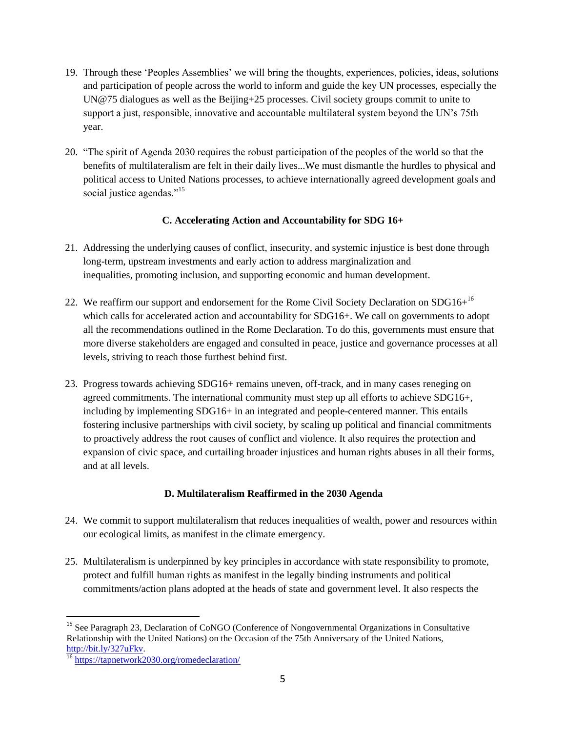- 19. Through these "Peoples Assemblies" we will bring the thoughts, experiences, policies, ideas, solutions and participation of people across the world to inform and guide the key UN processes, especially the [UN@75 dialogues](https://www.un.org/en/un75/join-conversation) as well as the [Beijing+25](https://www.unwomen.org/en/csw/csw64-2020) processes. Civil society groups commit to unite to support a just, responsible, innovative and accountable multilateral system beyond the UN"s 75th year.
- 20. "The spirit of Agenda 2030 requires the robust participation of the peoples of the world so that the benefits of multilateralism are felt in their daily lives...We must dismantle the hurdles to physical and political access to United Nations processes, to achieve internationally agreed development goals and social justice agendas."<sup>15</sup>

### **C. Accelerating Action and Accountability for SDG 16+**

- 21. Addressing the underlying causes of conflict, insecurity, and systemic injustice is best done through long-term, upstream investments and early action to address marginalization and inequalities, promoting inclusion, and supporting economic and human development.
- 22. We reaffirm our support and endorsement for the Rome Civil Society Declaration on  $SDG16+^{16}$ which calls for accelerated action and accountability for SDG16+. We call on governments to adopt all the recommendations outlined in the Rome Declaration. To do this, governments must ensure that more diverse stakeholders are engaged and consulted in peace, justice and governance processes at all levels, striving to reach those furthest behind first.
- 23. Progress towards achieving SDG16+ remains uneven, off-track, and in many cases reneging on agreed commitments. The international community must step up all efforts to achieve SDG16+, including by implementing SDG16+ in an integrated and people-centered manner. This entails fostering inclusive partnerships with civil society, by scaling up political and financial commitments to proactively address the root causes of conflict and violence. It also requires the protection and expansion of civic space, and curtailing broader injustices and human rights abuses in all their forms, and at all levels.

### **D. Multilateralism Reaffirmed in the 2030 Agenda**

- 24. We commit to support multilateralism that reduces inequalities of wealth, power and resources within our ecological limits, as manifest in the climate emergency.
- 25. Multilateralism is underpinned by key principles in accordance with state responsibility to promote, protect and fulfill human rights as manifest in the legally binding instruments and political commitments/action plans adopted at the heads of state and government level. It also respects the

<sup>&</sup>lt;sup>15</sup> See Paragraph 23, Declaration of CoNGO (Conference of Nongovernmental Organizations in Consultative Relationship with the United Nations) on the Occasion of the 75th Anniversary of the United Nations, [http://bit.ly/327uFkv.](http://bit.ly/327uFkv)

<sup>16</sup> <https://tapnetwork2030.org/romedeclaration/>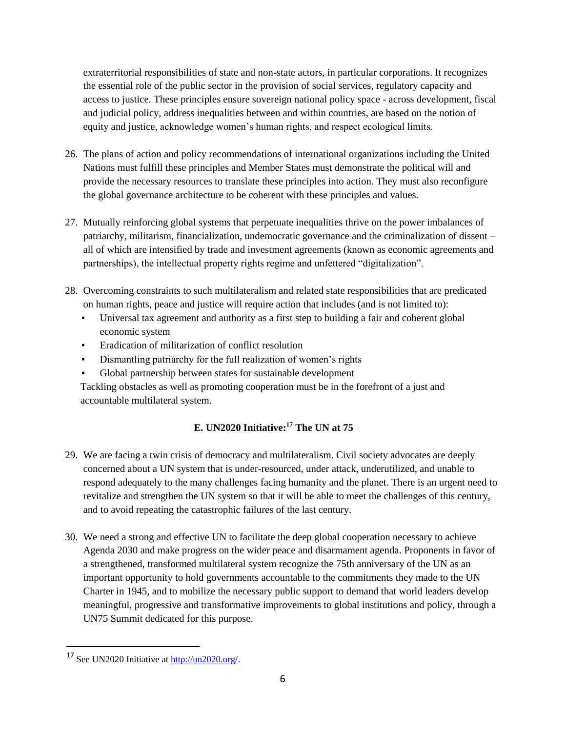extraterritorial responsibilities of state and non-state actors, in particular corporations. It recognizes the essential role of the public sector in the provision of social services, regulatory capacity and access to justice. These principles ensure sovereign national policy space - across development, fiscal and judicial policy, address inequalities between and within countries, are based on the notion of equity and justice, acknowledge women"s human rights, and respect ecological limits.

- 26. The plans of action and policy recommendations of international organizations including the United Nations must fulfill these principles and Member States must demonstrate the political will and provide the necessary resources to translate these principles into action. They must also reconfigure the global governance architecture to be coherent with these principles and values.
- 27. Mutually reinforcing global systems that perpetuate inequalities thrive on the power imbalances of patriarchy, militarism, financialization, undemocratic governance and the criminalization of dissent – all of which are intensified by trade and investment agreements (known as economic agreements and partnerships), the intellectual property rights regime and unfettered "digitalization".
- 28. Overcoming constraints to such multilateralism and related state responsibilities that are predicated on human rights, peace and justice will require action that includes (and is not limited to):
	- Universal tax agreement and authority as a first step to building a fair and coherent global economic system
	- Eradication of militarization of conflict resolution
	- Dismantling patriarchy for the full realization of women"s rights
	- Global partnership between states for sustainable development

Tackling obstacles as well as promoting cooperation must be in the forefront of a just and accountable multilateral system.

# **E. UN2020 Initiative:<sup>17</sup> The UN at 75**

- 29. We are facing a twin crisis of democracy and multilateralism. Civil society advocates are deeply concerned about a UN system that is under-resourced, under attack, underutilized, and unable to respond adequately to the many challenges facing humanity and the planet. There is an urgent need to revitalize and strengthen the UN system so that it will be able to meet the challenges of this century, and to avoid repeating the catastrophic failures of the last century.
- 30. We need a strong and effective UN to facilitate the deep global cooperation necessary to achieve Agenda 2030 and make progress on the wider peace and disarmament agenda. Proponents in favor of a strengthened, transformed multilateral system recognize the 75th anniversary of the UN as an important opportunity to hold governments accountable to the commitments they made to the UN Charter in 1945, and to mobilize the necessary public support to demand that world leaders develop meaningful, progressive and transformative improvements to global institutions and policy, through a UN75 Summit dedicated for this purpose.

<sup>&</sup>lt;sup>17</sup> See UN2020 Initiative at [http://un2020.org/.](http://un2020.org/)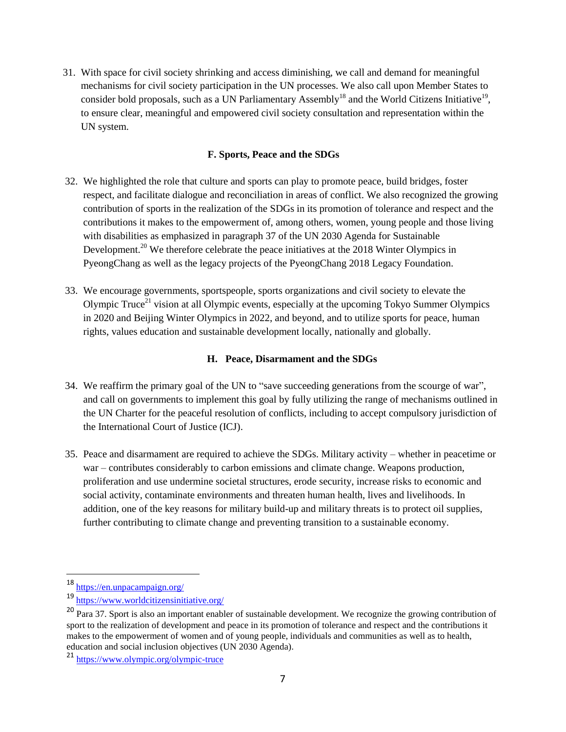31. With space for civil society shrinking and access diminishing, we call and demand for meaningful mechanisms for civil society participation in the UN processes. We also call upon Member States to consider bold proposals, such as a UN Parliamentary Assembly<sup>18</sup> and the World Citizens Initiative<sup>19</sup>, to ensure clear, meaningful and empowered civil society consultation and representation within the UN system.

### **F. Sports, Peace and the SDGs**

- 32. We highlighted the role that culture and sports can play to promote peace, build bridges, foster respect, and facilitate dialogue and reconciliation in areas of conflict. We also recognized the growing contribution of sports in the realization of the SDGs in its promotion of tolerance and respect and the contributions it makes to the empowerment of, among others, women, young people and those living with disabilities as emphasized in paragraph 37 of the UN 2030 Agenda for Sustainable Development.<sup>20</sup> We therefore celebrate the peace initiatives at the 2018 Winter Olympics in PyeongChang as well as the legacy projects of the PyeongChang 2018 Legacy Foundation.
- 33. We encourage governments, sportspeople, sports organizations and civil society to elevate the Olympic Truce<sup>21</sup> vision at all Olympic events, especially at the upcoming Tokyo Summer Olympics in 2020 and Beijing Winter Olympics in 2022, and beyond, and to utilize sports for peace, human rights, values education and sustainable development locally, nationally and globally.

### **H. Peace, Disarmament and the SDGs**

- 34. We reaffirm the primary goal of the UN to "save succeeding generations from the scourge of war", and call on governments to implement this goal by fully utilizing the range of mechanisms outlined in the UN Charter for the peaceful resolution of conflicts, including to accept compulsory jurisdiction of the International Court of Justice (ICJ).
- 35. Peace and disarmament are required to achieve the SDGs. Military activity whether in peacetime or war – contributes considerably to carbon emissions and climate change. Weapons production, proliferation and use undermine societal structures, erode security, increase risks to economic and social activity, contaminate environments and threaten human health, lives and livelihoods. In addition, one of the key reasons for military build-up and military threats is to protect oil supplies, further contributing to climate change and preventing transition to a sustainable economy.

<sup>18</sup> <https://en.unpacampaign.org/>

<sup>19</sup> <https://www.worldcitizensinitiative.org/>

<sup>&</sup>lt;sup>20</sup> Para 37. Sport is also an important enabler of sustainable development. We recognize the growing contribution of sport to the realization of development and peace in its promotion of tolerance and respect and the contributions it makes to the empowerment of women and of young people, individuals and communities as well as to health, education and social inclusion objectives (UN 2030 Agenda).

<sup>21</sup> <https://www.olympic.org/olympic-truce>